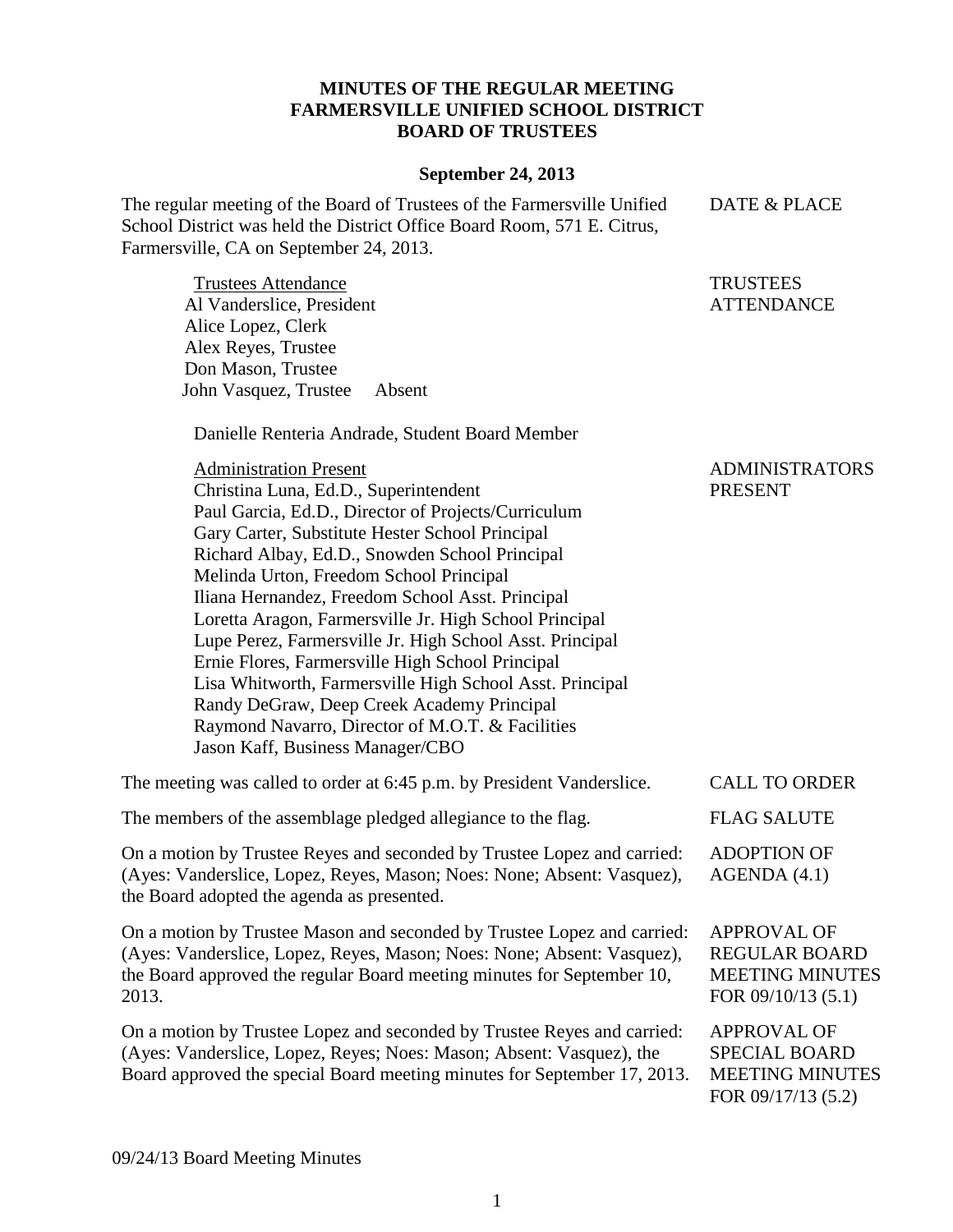## **MINUTES OF THE REGULAR MEETING FARMERSVILLE UNIFIED SCHOOL DISTRICT BOARD OF TRUSTEES**

## **September 24, 2013**

The regular meeting of the Board of Trustees of the Farmersville Unified School District was held the District Office Board Room, 571 E. Citrus, Farmersville, CA on September 24, 2013. DATE & PLACE

Trustees Attendance Al Vanderslice, President Alice Lopez, Clerk Alex Reyes, Trustee Don Mason, Trustee John Vasquez, Trustee Absent

Danielle Renteria Andrade, Student Board Member

**TRUSTEES** ATTENDANCE

Administration Present Christina Luna, Ed.D., Superintendent Paul Garcia, Ed.D., Director of Projects/Curriculum Gary Carter, Substitute Hester School Principal Richard Albay, Ed.D., Snowden School Principal Melinda Urton, Freedom School Principal Iliana Hernandez, Freedom School Asst. Principal Loretta Aragon, Farmersville Jr. High School Principal Lupe Perez, Farmersville Jr. High School Asst. Principal Ernie Flores, Farmersville High School Principal Lisa Whitworth, Farmersville High School Asst. Principal Randy DeGraw, Deep Creek Academy Principal Raymond Navarro, Director of M.O.T. & Facilities Jason Kaff, Business Manager/CBO ADMINISTRATORS PRESENT The meeting was called to order at 6:45 p.m. by President Vanderslice. CALL TO ORDER

The members of the assemblage pledged allegiance to the flag. FLAG SALUTE

On a motion by Trustee Reyes and seconded by Trustee Lopez and carried: (Ayes: Vanderslice, Lopez, Reyes, Mason; Noes: None; Absent: Vasquez), the Board adopted the agenda as presented. ADOPTION OF AGENDA (4.1)

On a motion by Trustee Mason and seconded by Trustee Lopez and carried: (Ayes: Vanderslice, Lopez, Reyes, Mason; Noes: None; Absent: Vasquez), the Board approved the regular Board meeting minutes for September 10, 2013.

On a motion by Trustee Lopez and seconded by Trustee Reyes and carried: (Ayes: Vanderslice, Lopez, Reyes; Noes: Mason; Absent: Vasquez), the Board approved the special Board meeting minutes for September 17, 2013.

APPROVAL OF REGULAR BOARD MEETING MINUTES FOR 09/10/13 (5.1)

APPROVAL OF SPECIAL BOARD MEETING MINUTES FOR 09/17/13 (5.2)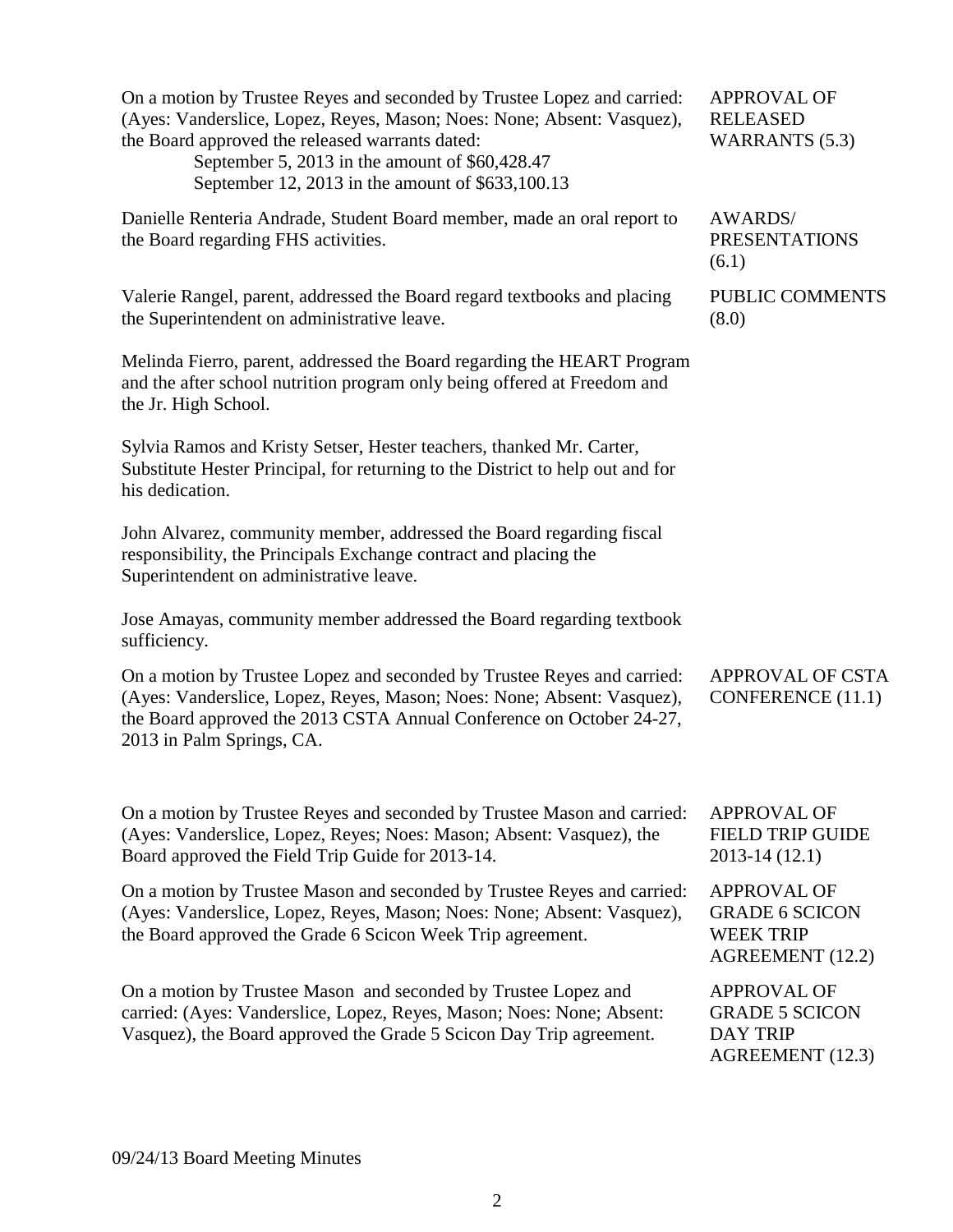(Ayes: Vanderslice, Lopez, Reyes, Mason; Noes: None; Absent: Vasquez), the Board approved the released warrants dated: September 5, 2013 in the amount of \$60,428.47 September 12, 2013 in the amount of \$633,100.13 RELEASED WARRANTS (5.3) Danielle Renteria Andrade, Student Board member, made an oral report to the Board regarding FHS activities. AWARDS/ PRESENTATIONS (6.1) Valerie Rangel, parent, addressed the Board regard textbooks and placing the Superintendent on administrative leave. Melinda Fierro, parent, addressed the Board regarding the HEART Program and the after school nutrition program only being offered at Freedom and the Jr. High School. Sylvia Ramos and Kristy Setser, Hester teachers, thanked Mr. Carter, Substitute Hester Principal, for returning to the District to help out and for his dedication. John Alvarez, community member, addressed the Board regarding fiscal responsibility, the Principals Exchange contract and placing the Superintendent on administrative leave. Jose Amayas, community member addressed the Board regarding textbook sufficiency. PUBLIC COMMENTS (8.0) On a motion by Trustee Lopez and seconded by Trustee Reyes and carried: (Ayes: Vanderslice, Lopez, Reyes, Mason; Noes: None; Absent: Vasquez), the Board approved the 2013 CSTA Annual Conference on October 24-27, 2013 in Palm Springs, CA. APPROVAL OF CSTA CONFERENCE (11.1) On a motion by Trustee Reyes and seconded by Trustee Mason and carried: (Ayes: Vanderslice, Lopez, Reyes; Noes: Mason; Absent: Vasquez), the Board approved the Field Trip Guide for 2013-14. APPROVAL OF FIELD TRIP GUIDE 2013-14 (12.1) On a motion by Trustee Mason and seconded by Trustee Reyes and carried: (Ayes: Vanderslice, Lopez, Reyes, Mason; Noes: None; Absent: Vasquez), the Board approved the Grade 6 Scicon Week Trip agreement. APPROVAL OF GRADE 6 SCICON WEEK TRIP AGREEMENT (12.2) On a motion by Trustee Mason and seconded by Trustee Lopez and carried: (Ayes: Vanderslice, Lopez, Reyes, Mason; Noes: None; Absent: Vasquez), the Board approved the Grade 5 Scicon Day Trip agreement. APPROVAL OF GRADE 5 SCICON DAY TRIP AGREEMENT (12.3)

On a motion by Trustee Reyes and seconded by Trustee Lopez and carried:

APPROVAL OF

2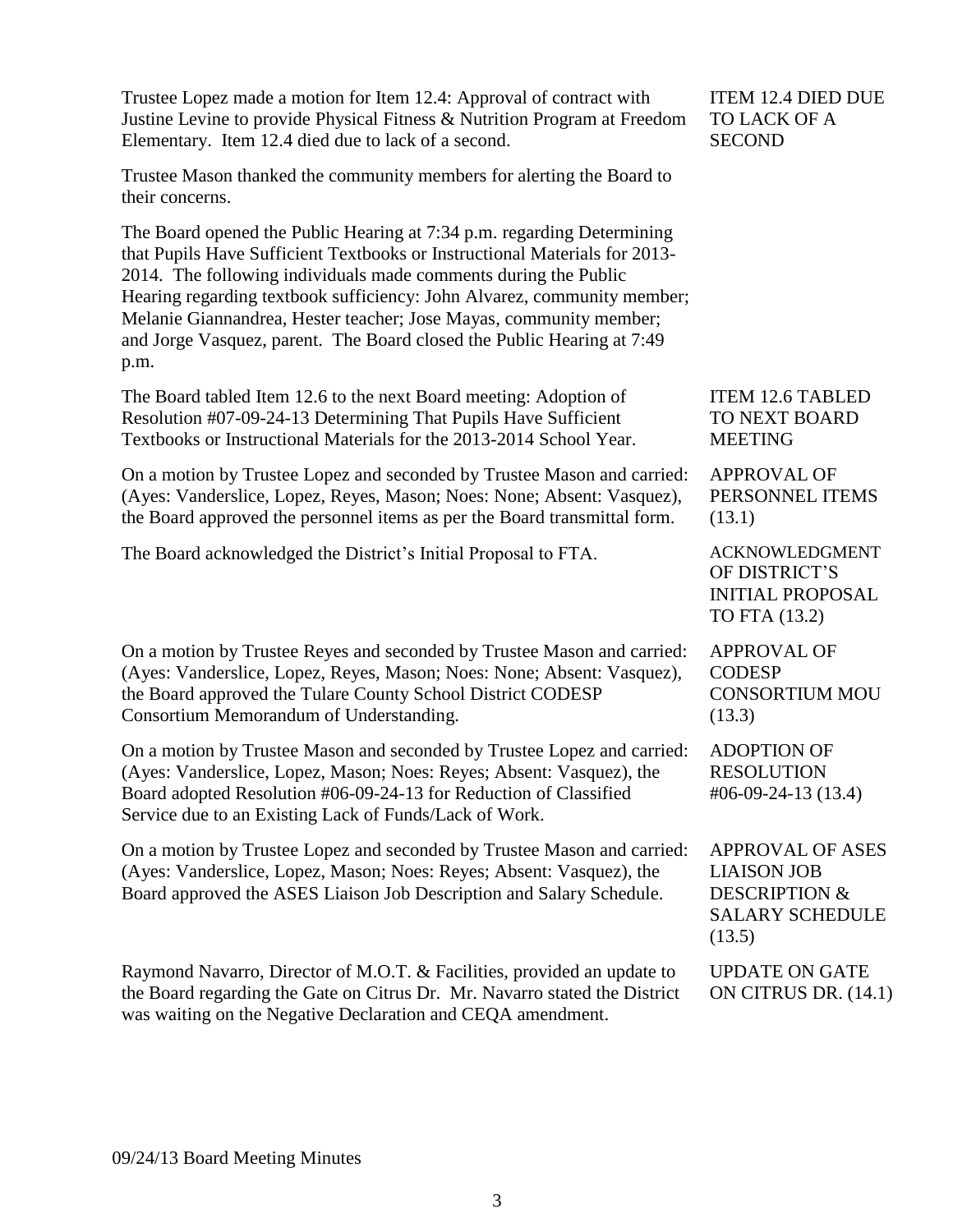| Trustee Lopez made a motion for Item 12.4: Approval of contract with<br>Justine Levine to provide Physical Fitness & Nutrition Program at Freedom<br>Elementary. Item 12.4 died due to lack of a second.                                                                                                                                                                                                                                                   | <b>ITEM 12.4 DIED DUE</b><br>TO LACK OF A<br><b>SECOND</b>                                                    |
|------------------------------------------------------------------------------------------------------------------------------------------------------------------------------------------------------------------------------------------------------------------------------------------------------------------------------------------------------------------------------------------------------------------------------------------------------------|---------------------------------------------------------------------------------------------------------------|
| Trustee Mason thanked the community members for alerting the Board to<br>their concerns.                                                                                                                                                                                                                                                                                                                                                                   |                                                                                                               |
| The Board opened the Public Hearing at 7:34 p.m. regarding Determining<br>that Pupils Have Sufficient Textbooks or Instructional Materials for 2013-<br>2014. The following individuals made comments during the Public<br>Hearing regarding textbook sufficiency: John Alvarez, community member;<br>Melanie Giannandrea, Hester teacher; Jose Mayas, community member;<br>and Jorge Vasquez, parent. The Board closed the Public Hearing at 7:49<br>p.m. |                                                                                                               |
| The Board tabled Item 12.6 to the next Board meeting: Adoption of<br>Resolution #07-09-24-13 Determining That Pupils Have Sufficient<br>Textbooks or Instructional Materials for the 2013-2014 School Year.                                                                                                                                                                                                                                                | <b>ITEM 12.6 TABLED</b><br>TO NEXT BOARD<br><b>MEETING</b>                                                    |
| On a motion by Trustee Lopez and seconded by Trustee Mason and carried:<br>(Ayes: Vanderslice, Lopez, Reyes, Mason; Noes: None; Absent: Vasquez),<br>the Board approved the personnel items as per the Board transmittal form.                                                                                                                                                                                                                             | <b>APPROVAL OF</b><br>PERSONNEL ITEMS<br>(13.1)                                                               |
| The Board acknowledged the District's Initial Proposal to FTA.                                                                                                                                                                                                                                                                                                                                                                                             | <b>ACKNOWLEDGMENT</b><br>OF DISTRICT'S<br><b>INITIAL PROPOSAL</b><br>TO FTA (13.2)                            |
| On a motion by Trustee Reyes and seconded by Trustee Mason and carried:<br>(Ayes: Vanderslice, Lopez, Reyes, Mason; Noes: None; Absent: Vasquez),<br>the Board approved the Tulare County School District CODESP<br>Consortium Memorandum of Understanding.                                                                                                                                                                                                | <b>APPROVAL OF</b><br><b>CODESP</b><br><b>CONSORTIUM MOU</b><br>(13.3)                                        |
| On a motion by Trustee Mason and seconded by Trustee Lopez and carried:<br>(Ayes: Vanderslice, Lopez, Mason; Noes: Reyes; Absent: Vasquez), the<br>Board adopted Resolution #06-09-24-13 for Reduction of Classified<br>Service due to an Existing Lack of Funds/Lack of Work.                                                                                                                                                                             | <b>ADOPTION OF</b><br><b>RESOLUTION</b><br>$\#06-09-24-13(13.4)$                                              |
| On a motion by Trustee Lopez and seconded by Trustee Mason and carried:<br>(Ayes: Vanderslice, Lopez, Mason; Noes: Reyes; Absent: Vasquez), the<br>Board approved the ASES Liaison Job Description and Salary Schedule.                                                                                                                                                                                                                                    | <b>APPROVAL OF ASES</b><br><b>LIAISON JOB</b><br><b>DESCRIPTION &amp;</b><br><b>SALARY SCHEDULE</b><br>(13.5) |
| Raymond Navarro, Director of M.O.T. & Facilities, provided an update to<br>the Board regarding the Gate on Citrus Dr. Mr. Navarro stated the District<br>was waiting on the Negative Declaration and CEQA amendment.                                                                                                                                                                                                                                       | <b>UPDATE ON GATE</b><br>ON CITRUS DR. (14.1)                                                                 |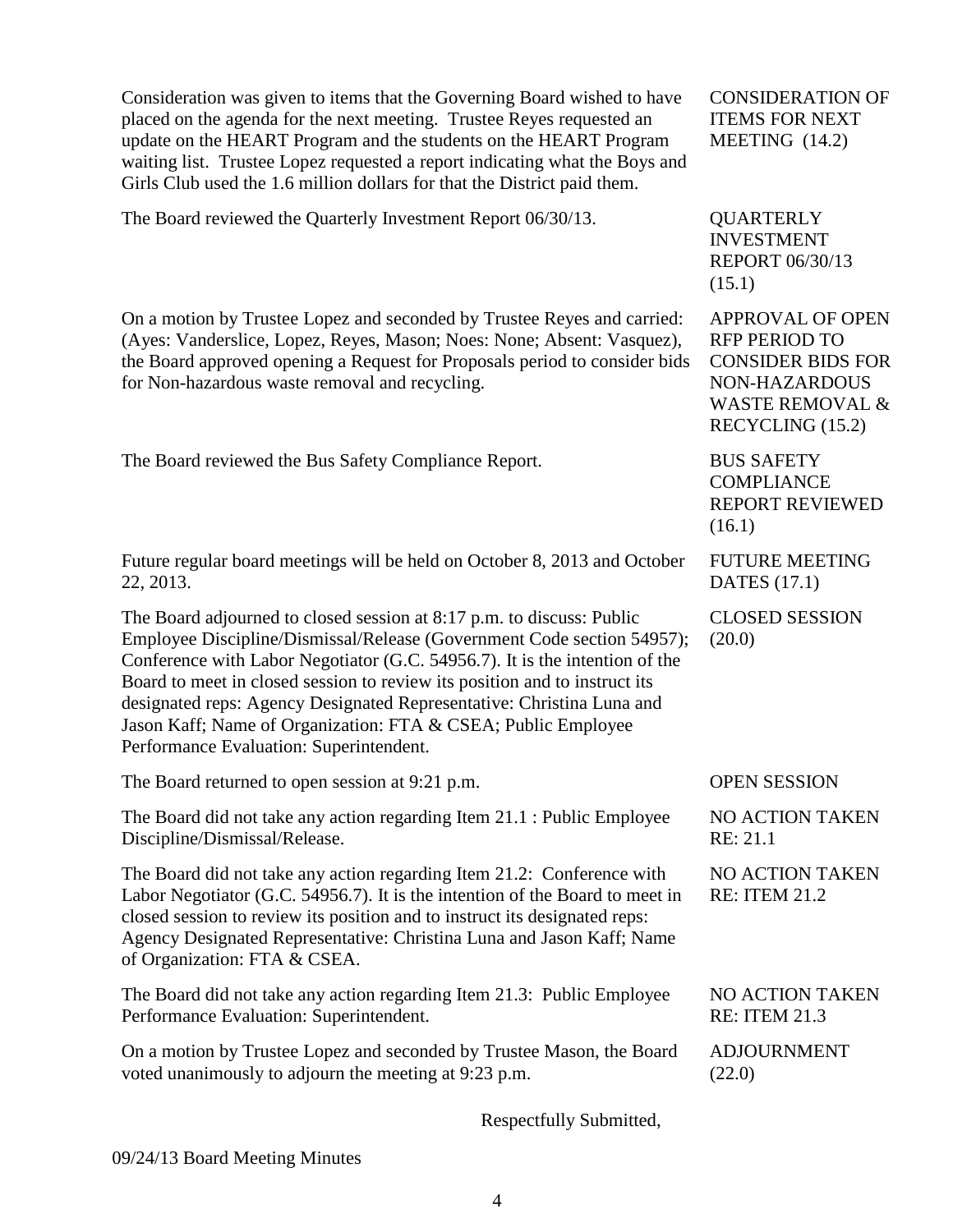| Consideration was given to items that the Governing Board wished to have<br>placed on the agenda for the next meeting. Trustee Reyes requested an<br>update on the HEART Program and the students on the HEART Program<br>waiting list. Trustee Lopez requested a report indicating what the Boys and<br>Girls Club used the 1.6 million dollars for that the District paid them.                                                                                                                 | <b>CONSIDERATION OF</b><br><b>ITEMS FOR NEXT</b><br>MEETING $(14.2)$                                                                                  |
|---------------------------------------------------------------------------------------------------------------------------------------------------------------------------------------------------------------------------------------------------------------------------------------------------------------------------------------------------------------------------------------------------------------------------------------------------------------------------------------------------|-------------------------------------------------------------------------------------------------------------------------------------------------------|
| The Board reviewed the Quarterly Investment Report 06/30/13.                                                                                                                                                                                                                                                                                                                                                                                                                                      | <b>QUARTERLY</b><br><b>INVESTMENT</b><br><b>REPORT 06/30/13</b><br>(15.1)                                                                             |
| On a motion by Trustee Lopez and seconded by Trustee Reyes and carried:<br>(Ayes: Vanderslice, Lopez, Reyes, Mason; Noes: None; Absent: Vasquez),<br>the Board approved opening a Request for Proposals period to consider bids<br>for Non-hazardous waste removal and recycling.                                                                                                                                                                                                                 | <b>APPROVAL OF OPEN</b><br><b>RFP PERIOD TO</b><br><b>CONSIDER BIDS FOR</b><br><b>NON-HAZARDOUS</b><br><b>WASTE REMOVAL &amp;</b><br>RECYCLING (15.2) |
| The Board reviewed the Bus Safety Compliance Report.                                                                                                                                                                                                                                                                                                                                                                                                                                              | <b>BUS SAFETY</b><br><b>COMPLIANCE</b><br><b>REPORT REVIEWED</b><br>(16.1)                                                                            |
| Future regular board meetings will be held on October 8, 2013 and October<br>22, 2013.                                                                                                                                                                                                                                                                                                                                                                                                            | <b>FUTURE MEETING</b><br><b>DATES</b> (17.1)                                                                                                          |
| The Board adjourned to closed session at 8:17 p.m. to discuss: Public<br>Employee Discipline/Dismissal/Release (Government Code section 54957);<br>Conference with Labor Negotiator (G.C. 54956.7). It is the intention of the<br>Board to meet in closed session to review its position and to instruct its<br>designated reps: Agency Designated Representative: Christina Luna and<br>Jason Kaff; Name of Organization: FTA & CSEA; Public Employee<br>Performance Evaluation: Superintendent. | <b>CLOSED SESSION</b><br>(20.0)                                                                                                                       |
| The Board returned to open session at 9:21 p.m.                                                                                                                                                                                                                                                                                                                                                                                                                                                   | <b>OPEN SESSION</b>                                                                                                                                   |
| The Board did not take any action regarding Item 21.1 : Public Employee<br>Discipline/Dismissal/Release.                                                                                                                                                                                                                                                                                                                                                                                          | NO ACTION TAKEN<br>RE: 21.1                                                                                                                           |
| The Board did not take any action regarding Item 21.2: Conference with<br>Labor Negotiator (G.C. 54956.7). It is the intention of the Board to meet in<br>closed session to review its position and to instruct its designated reps:<br>Agency Designated Representative: Christina Luna and Jason Kaff; Name<br>of Organization: FTA & CSEA.                                                                                                                                                     | NO ACTION TAKEN<br><b>RE: ITEM 21.2</b>                                                                                                               |
| The Board did not take any action regarding Item 21.3: Public Employee<br>Performance Evaluation: Superintendent.                                                                                                                                                                                                                                                                                                                                                                                 | NO ACTION TAKEN<br><b>RE: ITEM 21.3</b>                                                                                                               |
| On a motion by Trustee Lopez and seconded by Trustee Mason, the Board<br>voted unanimously to adjourn the meeting at 9:23 p.m.                                                                                                                                                                                                                                                                                                                                                                    | <b>ADJOURNMENT</b><br>(22.0)                                                                                                                          |

Respectfully Submitted,

09/24/13 Board Meeting Minutes